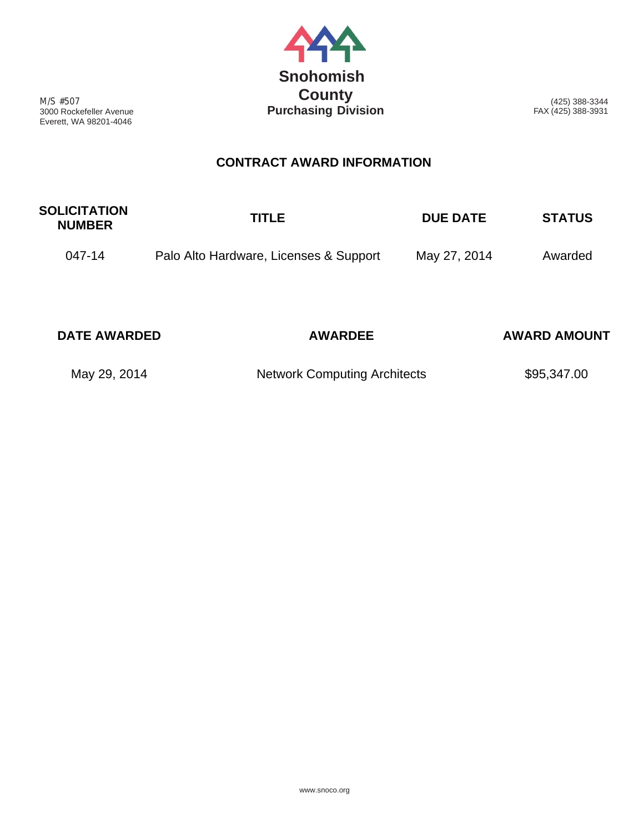

M/S #507 3000 Rockefeller Avenue Everett, WA 98201-4046

(425) 388-3344 FAX (425) 388-3931

## **CONTRACT AWARD INFORMATION**

| <b>SOLICITATION</b><br><b>NUMBER</b> | <b>TITLE</b>                           | <b>DUE DATE</b> | <b>STATUS</b> |
|--------------------------------------|----------------------------------------|-----------------|---------------|
| 047-14                               | Palo Alto Hardware, Licenses & Support | May 27, 2014    | Awarded       |

| <b>DATE AWARDED</b> | <b>AWARDEE</b>                      | <b>AWARD AMOUNT</b> |
|---------------------|-------------------------------------|---------------------|
| May 29, 2014        | <b>Network Computing Architects</b> | \$95,347.00         |